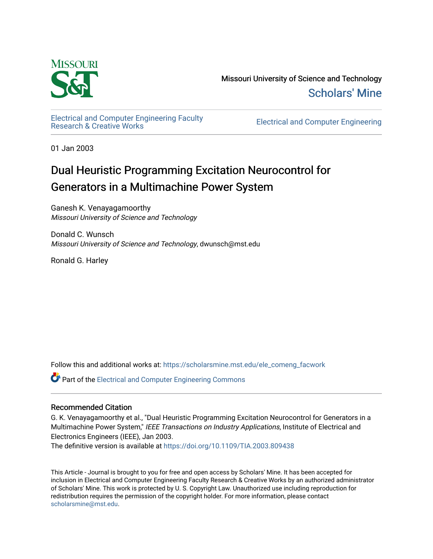

Missouri University of Science and Technology [Scholars' Mine](https://scholarsmine.mst.edu/) 

[Electrical and Computer Engineering Faculty](https://scholarsmine.mst.edu/ele_comeng_facwork)<br>Research & Creative Works

**Electrical and Computer Engineering** 

01 Jan 2003

## Dual Heuristic Programming Excitation Neurocontrol for Generators in a Multimachine Power System

Ganesh K. Venayagamoorthy Missouri University of Science and Technology

Donald C. Wunsch Missouri University of Science and Technology, dwunsch@mst.edu

Ronald G. Harley

Follow this and additional works at: [https://scholarsmine.mst.edu/ele\\_comeng\\_facwork](https://scholarsmine.mst.edu/ele_comeng_facwork?utm_source=scholarsmine.mst.edu%2Fele_comeng_facwork%2F985&utm_medium=PDF&utm_campaign=PDFCoverPages)

**C** Part of the Electrical and Computer Engineering Commons

## Recommended Citation

G. K. Venayagamoorthy et al., "Dual Heuristic Programming Excitation Neurocontrol for Generators in a Multimachine Power System," IEEE Transactions on Industry Applications, Institute of Electrical and Electronics Engineers (IEEE), Jan 2003.

The definitive version is available at <https://doi.org/10.1109/TIA.2003.809438>

This Article - Journal is brought to you for free and open access by Scholars' Mine. It has been accepted for inclusion in Electrical and Computer Engineering Faculty Research & Creative Works by an authorized administrator of Scholars' Mine. This work is protected by U. S. Copyright Law. Unauthorized use including reproduction for redistribution requires the permission of the copyright holder. For more information, please contact [scholarsmine@mst.edu.](mailto:scholarsmine@mst.edu)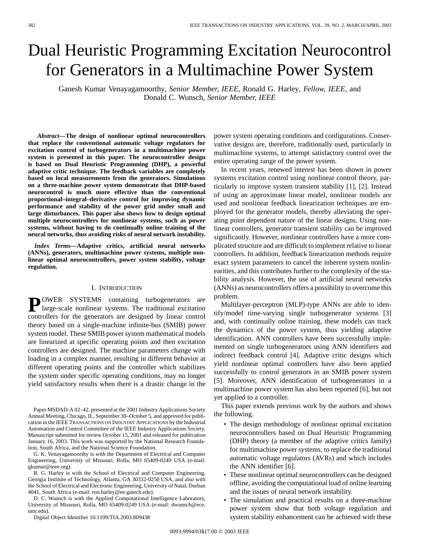# Dual Heuristic Programming Excitation Neurocontrol for Generators in a Multimachine Power System

Ganesh Kumar Venayagamoorthy*, Senior Member, IEEE*, Ronald G. Harley*, Fellow, IEEE*, and Donald C. Wunsch*, Senior Member, IEEE*

*Abstract—***The design of nonlinear optimal neurocontrollers that replace the conventional automatic voltage regulators for excitation control of turbogenerators in a multimachine power system is presented in this paper. The neurocontroller design is based on Dual Heuristic Programming (DHP), a powerful adaptive critic technique. The feedback variables are completely based on local measurements from the generators. Simulations on a three-machine power system demonstrate that DHP-based neurocontrol is much more effective than the conventional proportional–integral–derivative control for improving dynamic performance and stability of the power grid under small and large disturbances. This paper also shows how to design optimal multiple neurocontrollers for nonlinear systems, such as power systems, without having to do continually online training of the neural networks, thus avoiding risks of neural network instability.**

*Index Terms—***Adaptive critics, artificial neural networks (ANNs), generators, multimachine power systems, multiple nonlinear optimal neurocontrollers, power system stability, voltage regulation.**

#### I. INTRODUCTION

**P** OWER SYSTEMS containing turbogenerators are large-scale nonlinear systems. The traditional excitation controllers for the generators are designed by linear control theory based on a single-machine infinite-bus (SMIB) power system model. These SMIB power system mathematical models are linearized at specific operating points and then excitation controllers are designed. The machine parameters change with loading in a complex manner, resulting in different behavior at different operating points and the controller which stabilizes the system under specific operating conditions, may no longer yield satisfactory results when there is a drastic change in the

Paper MSDAD-A 02–42, presented at the 2001 Industry Applications Society Annual Meeting, Chicago, IL, September 30–October 5, and approved for publication in the IEEE TRANSACTIONS ON INDUSTRY APPLICATIONS by the Industrial Automation and Control Committee of the IEEE Industry Applications Society. Manuscript submitted for review October 15, 2001 and released for publication January 16, 2003. This work was supported by the National Research Foundation, South Africa, and the National Science Foundation.

G. K. Venayagamoorthy is with the Department of Electrical and Computer Engineering, University of Missouri, Rolla, MO 65409-0249 USA (e-mail: gkumar@ieee.org).

R. G. Harley is with the School of Electrical and Computer Engineering, Georgia Institute of Technology, Atlanta, GA 30332-0250 USA, and also with the School of Electrical and Electronic Engineering, University of Natal, Durban 4041, South Africa (e-mail: ron.harley@ee.gatech.edu).

D. C. Wunsch is with the Applied Computational Intelligence Laboratory, University of Missouri, Rolla, MO 65409-0249 USA (e-mail: dwunsch@ece. umr.edu).

Digital Object Identifier 10.1109/TIA.2003.809438

power system operating conditions and configurations. Conservative designs are, therefore, traditionally used, particularly in multimachine systems, to attempt satisfactory control over the entire operating range of the power system.

In recent years, renewed interest has been shown in power systems excitation control using nonlinear control theory, particularly to improve system transient stability [1], [2]. Instead of using an approximate linear model, nonlinear models are used and nonlinear feedback linearization techniques are employed for the generator models, thereby alleviating the operating point dependent nature of the linear designs. Using nonlinear controllers, generator transient stability can be improved significantly. However, nonlinear controllers have a more complicated structure and are difficult to implement relative to linear controllers. In addition, feedback linearization methods require exact system parameters to cancel the inherent system nonlinearities, and this contributes further to the complexity of the stability analysis. However, the use of artificial neural networks (ANNs) as neurocontrollers offers a possibility to overcome this problem.

Multilayer-perceptron (MLP)-type ANNs are able to identify/model time-varying single turbogenerator systems [3] and, with continually online training, these models can track the dynamics of the power system, thus yielding adaptive identification. ANN controllers have been successfully implemented on single turbogenerators using ANN identifiers and indirect feedback control [4]. Adaptive critic designs which yield nonlinear optimal controllers have also been applied successfully to control generators in an SMIB power system [5]. Moreover, ANN identification of turbogenerators in a multimachine power system has also been reported [6], but not yet applied to a controller.

This paper extends previous work by the authors and shows the following.

- The design methodology of nonlinear optimal excitation neurocontrollers based on Dual Heuristic Programming (DHP) theory (a member of the adaptive critics family) for multimachine power systems, to replace the traditional automatic voltage regulators (AVRs) and which includes the ANN identifier [6].
- These nonlinear optimal neurocontrollers can be designed offline, avoiding the computational load of online learning and the issues of neural network instability.
- The simulation and practical results on a three-machine power system show that both voltage regulation and system stability enhancement can be achieved with these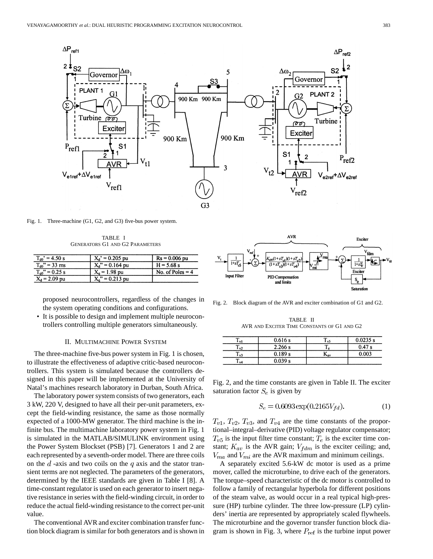

Fig. 1. Three-machine (G1, G2, and G3) five-bus power system.

TABLE I GENERATORS G1 AND G2 PARAMETERS

| $T_{d0}$ ' = 4.50 s | $X_d' = 0.205$ pu  | $Rs = 0.006$ pu    |
|---------------------|--------------------|--------------------|
| $T_{d0}$ " = 33 ms  | $X_d$ " = 0.164 pu | $H = 5.68 s$       |
| $T_{q0}$ " = 0.25 s | $X_0 = 1.98$ pu    | No. of Poles $=$ 4 |
| $X_d = 2.09$ pu     | $X_0$ " = 0.213 pu |                    |

proposed neurocontrollers, regardless of the changes in the system operating conditions and configurations.

• It is possible to design and implement multiple neurocontrollers controlling multiple generators simultaneously.

## II. MULTIMACHINE POWER SYSTEM

The three-machine five-bus power system in Fig. 1 is chosen, to illustrate the effectiveness of adaptive critic-based neurocontrollers. This system is simulated because the controllers designed in this paper will be implemented at the University of Natal's machines research laboratory in Durban, South Africa.

The laboratory power system consists of two generators, each 3 kW, 220 V, designed to have all their per-unit parameters, except the field-winding resistance, the same as those normally expected of a 1000-MW generator. The third machine is the infinite bus. The multimachine laboratory power system in Fig. 1 is simulated in the MATLAB/SIMULINK environment using the Power System Blockset (PSB) [7]. Generators 1 and 2 are each represented by a seventh-order model. There are three coils on the  $d$ -axis and two coils on the q axis and the stator transient terms are not neglected. The parameters of the generators, determined by the IEEE standards are given in Table I [8]. A time-constant regulator is used on each generator to insert negative resistance in series with the field-winding circuit, in order to reduce the actual field-winding resistance to the correct per-unit value.

The conventional AVR and exciter combination transfer function block diagram is similar for both generators and is shown in



Fig. 2. Block diagram of the AVR and exciter combination of G1 and G2.

TABLE II AVR AND EXCITER TIME CONSTANTS OF G1 AND G2

| l vi              | 0.616 s | 1 v5       | 0.0235 s |
|-------------------|---------|------------|----------|
| $\Gamma_{\rm v2}$ | 2.266 s | 1 e        | 0.47 s   |
| Гvз               | 0.189 s | <b>Nav</b> | 0.003    |
| l v4              | 0.039 s |            |          |

Fig. 2, and the time constants are given in Table II. The exciter saturation factor  $S_e$  is given by

$$
S_e = 0.6093 \exp(0.2165 V_{fd}). \tag{1}
$$

 $T_{v1}$ ,  $T_{v2}$ ,  $T_{v3}$ , and  $T_{v4}$  are the time constants of the proportional–integral–derivative (PID) voltage regulator compensator;  $T_{v5}$  is the input filter time constant;  $T_e$  is the exciter time constant;  $K_{av}$  is the AVR gain;  $V_{fdm}$  is the exciter ceiling; and,  $V_{ma}$  and  $V_{mi}$  are the AVR maximum and minimum ceilings.

A separately excited 5.6-kW dc motor is used as a prime mover, called the microturbine, to drive each of the generators. The torque–speed characteristic of the dc motor is controlled to follow a family of rectangular hyperbola for different positions of the steam valve, as would occur in a real typical high-pressure (HP) turbine cylinder. The three low-pressure (LP) cylinders' inertia are represented by appropriately scaled flywheels. The microturbine and the governor transfer function block diagram is shown in Fig. 3, where  $P_{ref}$  is the turbine input power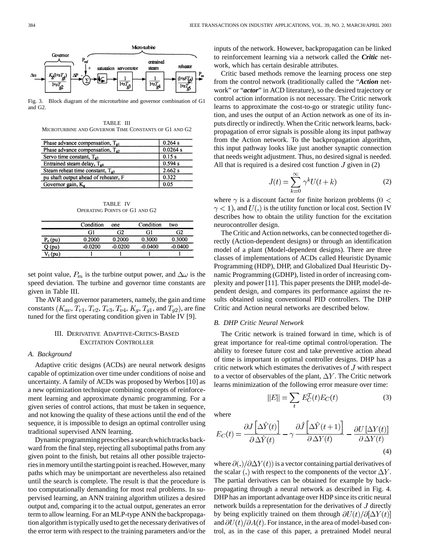

Fig. 3. Block diagram of the microturbine and governor combination of G1 and G2.

TABLE III MICROTURBINE AND GOVERNOR TIME CONSTANTS OF G1 AND G2

| Phase advance compensation, $T_{gl}$ | 0.264 s  |
|--------------------------------------|----------|
| Phase advance compensation, $T_{g2}$ | 0.0264 s |
| Servo time constant, $T_{g3}$        | 0.15s    |
| Entrained steam delay, $T_{g4}$      | 0.594 s  |
| Steam reheat time constant, $T_{g5}$ | 2.662 s  |
| pu shaft output ahead of reheater, F | 0.322    |
| Governor gain, K <sub>g</sub>        | 0.05     |

TABLE IV OPERATING POINTS OF G1 AND G2

|               | Condition | one       | Condition | two       |
|---------------|-----------|-----------|-----------|-----------|
|               | G1        | G2        | G1        | G2        |
| $P_c(pu)$     | 0.2000    | 0.2000    | 0.3000    | 0.3000    |
| $\angle$ (pu) | $-0.0200$ | $-0.0200$ | $-0.0400$ | $-0.0400$ |
| ', (pu)       |           |           |           |           |

set point value,  $P_m$  is the turbine output power, and  $\Delta \omega$  is the speed deviation. The turbine and governor time constants are given in Table III.

The AVR and governor parameters, namely, the gain and time constants  $(K_{av}, T_{v1}, T_{v2}, T_{v3}, T_{v4}, K_g, T_{g1}, \text{and } T_{g2})$ , are fine tuned for the first operating condition given in Table IV [9].

## III. DERIVATIVE ADAPTIVE-CRITICS-BASED EXCITATION CONTROLLER

#### *A. Background*

Adaptive critic designs (ACDs) are neural network designs capable of optimization over time under conditions of noise and uncertainty. A family of ACDs was proposed by Werbos [10] as a new optimization technique combining concepts of reinforcement learning and approximate dynamic programming. For a given series of control actions, that must be taken in sequence, and not knowing the quality of these actions until the end of the sequence, it is impossible to design an optimal controller using traditional supervised ANN learning.

Dynamic programming prescribes a search which tracks backward from the final step, rejecting all suboptimal paths from any given point to the finish, but retains all other possible trajectories in memory until the starting point is reached. However, many paths which may be unimportant are nevertheless also retained until the search is complete. The result is that the procedure is too computationally demanding for most real problems. In supervised learning, an ANN training algorithm utilizes a desired output and, comparing it to the actual output, generates an error term to allow learning. For an MLP-type ANN the backpropagation algorithm is typically used to get the necessary derivatives of the error term with respect to the training parameters and/or the inputs of the network. However, backpropagation can be linked to reinforcement learning via a network called the *Critic* network, which has certain desirable attributes.

Critic based methods remove the learning process one step from the control network (traditionally called the "*Action* network" or "*actor*" in ACD literature), so the desired trajectory or control action information is not necessary. The Critic network learns to approximate the cost-to-go or strategic utility function, and uses the output of an Action network as one of its inputs directly or indirectly. When the Critic network learns, backpropagation of error signals is possible along its input pathway from the Action network. To the backpropagation algorithm, this input pathway looks like just another synaptic connection that needs weight adjustment. Thus, no desired signal is needed. All that is required is a desired cost function  $J$  given in (2)

$$
J(t) = \sum_{k=0}^{\infty} \gamma^k U(t+k)
$$
 (2)

where  $\gamma$  is a discount factor for finite horizon problems (0 <  $\gamma$  < 1), and U(.) is the utility function or local cost. Section IV describes how to obtain the utility function for the excitation neurocontroller design.

The Critic and Action networks, can be connected together directly (Action-dependent designs) or through an identification model of a plant (Model-dependent designs). There are three classes of implementations of ACDs called Heuristic Dynamic Programming (HDP), DHP, and Globalized Dual Heuristic Dynamic Programming (GDHP), listed in order of increasing complexity and power [11]. This paper presents the DHP, model-dependent design, and compares its performance against the results obtained using conventional PID controllers. The DHP Critic and Action neural networks are described below.

## *B. DHP Critic Neural Network*

The Critic network is trained forward in time, which is of great importance for real-time optimal control/operation. The ability to foresee future cost and take preventive action ahead of time is important in optimal controller designs. DHP has a critic network which estimates the derivatives of  $J$  with respect to a vector of observables of the plant,  $\Delta Y$ . The Critic network learns minimization of the following error measure over time:

$$
||E|| = \sum_{t} E_C^T(t) E_C(t)
$$
\n(3)

where

$$
E_C(t) = \frac{\partial J \left[ \Delta \hat{Y}(t) \right]}{\partial \Delta \hat{Y}(t)} - \gamma \frac{\partial \hat{J} \left[ \Delta \hat{Y}(t+1) \right]}{\partial \Delta Y(t)} - \frac{\partial U \left[ \Delta Y(t) \right]}{\partial \Delta Y(t)}
$$
(4)

where  $\partial(.)/\partial \Delta Y(t)$  is a vector containing partial derivatives of the scalar (.) with respect to the components of the vector  $\Delta Y$ . The partial derivatives can be obtained for example by backpropagating through a neural network as described in Fig. 4. DHP has an important advantage over HDP since its critic neural network builds a representation for the derivatives of  $J$  directly by being explicitly trained on them through  $\partial U(t)/\partial[\Delta Y(t)]$ and  $\partial U(t)/\partial A(t)$ . For instance, in the area of model-based control, as in the case of this paper, a pretrained Model neural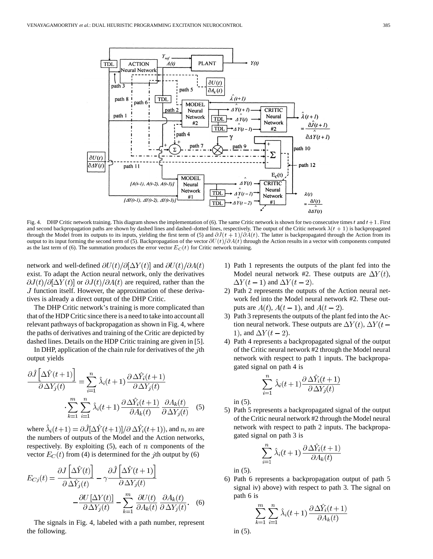

Fig. 4. DHP Critic network training. This diagram shows the implementation of (6). The same Critic network is shown for two consecutive times t and  $t+1$ . First and second backpropagation paths are shown by dashed lines and dashed–dotted lines, respectively. The output of the Critic network  $\lambda(t + 1)$  is backpropagated through the Model from its outputs to its inputs, yielding the first term of (5) and  $\partial J(t + 1)/\partial A(t)$ . The latter is backpropagated through the Action from its output to its input forming the second term of (5). Backpropagation of the vector  $\partial U(t)/\partial A(t)$  through the Action results in a vector with components computed as the last term of (6). The summation produces the error vector  $E_C(t)$  for Critic network training.

network and well-defined  $\partial U(t)/\partial [\Delta Y(t)]$  and  $\partial U(t)/\partial A(t)$ exist. To adapt the Action neural network, only the derivatives  $\partial J(t)/\partial[\Delta Y(t)]$  or  $\partial J(t)/\partial A(t)$  are required, rather than the  $J$  function itself. However, the approximation of these derivatives is already a direct output of the DHP Critic.

The DHP Critic network's training is more complicated than that of the HDP Critic since there is a need to take into account all relevant pathways of backpropagation as shown in Fig. 4, where the paths of derivatives and training of the Critic are depicted by dashed lines. Details on the HDP Critic training are given in [5].

In DHP, application of the chain rule for derivatives of the  $j$ th output yields

$$
\frac{\partial \hat{J} \left[ \Delta \hat{Y}(t+1) \right]}{\partial \Delta Y_j(t)} = \sum_{i=1}^n \hat{\lambda}_i(t+1) \frac{\partial \Delta \hat{Y}_i(t+1)}{\partial \Delta Y_j(t)}
$$

$$
\cdot \sum_{k=1}^m \sum_{i=1}^n \hat{\lambda}_i(t+1) \frac{\partial \Delta \hat{Y}_i(t+1)}{\partial A_k(t)} \frac{\partial A_k(t)}{\partial \Delta Y_j(t)}
$$
(5)

where  $\hat{\lambda}_i(t+1) = \partial \hat{J}[\Delta \hat{Y}(t+1)]/\partial \Delta \hat{Y}_i(t+1)$ , and n, m are the numbers of outputs of the Model and the Action networks, respectively. By exploiting  $(5)$ , each of n components of the vector  $E_C(t)$  from (4) is determined for the jth output by (6)

$$
E_{Cj}(t) = \frac{\partial J \left[\Delta \hat{Y}(t)\right]}{\partial \Delta \hat{Y}_j(t)} - \gamma \frac{\partial \hat{J} \left[\Delta \hat{Y}(t+1)\right]}{\partial \Delta Y_j(t)}
$$

$$
-\frac{\partial U \left[\Delta Y(t)\right]}{\partial \Delta Y_j(t)} - \sum_{k=1}^{m} \frac{\partial U(t)}{\partial A_k(t)} \frac{\partial A_k(t)}{\partial \Delta Y_j(t)}.
$$
(6)

The signals in Fig. 4, labeled with a path number, represent the following.

- 1) Path 1 represents the outputs of the plant fed into the Model neural network #2. These outputs are  $\Delta Y(t)$ ,  $\Delta Y(t-1)$  and  $\Delta Y(t-2)$ .
- 2) Path 2 represents the outputs of the Action neural network fed into the Model neural network #2. These outputs are  $A(t)$ ,  $A(t-1)$ , and  $A(t-2)$ .
- 3) Path 3 represents the outputs of the plant fed into the Action neural network. These outputs are  $\Delta Y(t)$ ,  $\Delta Y(t -$ 1), and  $\Delta Y(t-2)$ .
- 4) Path 4 represents a backpropagated signal of the output of the Critic neural network #2 through the Model neural network with respect to path 1 inputs. The backpropagated signal on path 4 is

$$
\sum_{i=1}^n\,\hat{\lambda}_i(t+1)\frac{\partial\,\Delta\hat{Y}_i(t+1)}{\partial\,\Delta Y_j(t)}
$$

in (5).

5) Path 5 represents a backpropagated signal of the output of the Critic neural network #2 through the Model neural network with respect to path 2 inputs. The backpropagated signal on path 3 is

$$
\sum_{i=1}^{n} \hat{\lambda}_i(t+1) \frac{\partial \Delta \hat{Y}_i(t+1)}{\partial A_k(t)}
$$

in (5).

6) Path 6 represents a backpropagation output of path 5 signal iv) above) with respect to path 3. The signal on path 6 is

$$
\sum_{k=1}^{m} \sum_{i=1}^{n} \hat{\lambda}_i(t+1) \frac{\partial \Delta \hat{Y}_i(t+1)}{\partial A_k(t)}
$$

in (5).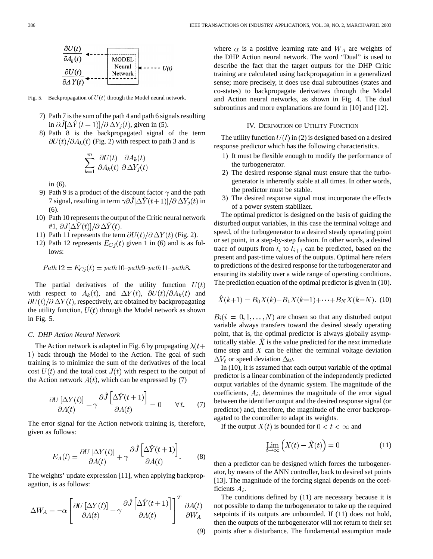

Fig. 5. Backpropagation of  $U(t)$  through the Model neural network.

- 7) Path 7 is the sum of the path 4 and path 6 signals resulting in  $\partial J[\Delta Y(t+1)]/\partial \Delta Y_i(t)$ , given in (5).
- 8) Path 8 is the backpropagated signal of the term  $\partial U(t)/\partial A_k(t)$  (Fig. 2) with respect to path 3 and is

$$
\sum_{k=1}^{m} \frac{\partial U(t)}{\partial A_k(t)} \frac{\partial A_k(t)}{\partial \Delta Y_j(t)}
$$

in (6).

- 9) Path 9 is a product of the discount factor  $\gamma$  and the path 7 signal, resulting in term  $\gamma \partial \overline{J}[\Delta \overline{Y}(t+1)]/\partial \Delta Y_i(t)$  in (6).
- 10) Path 10 represents the output of the Critic neural network #1,  $\partial J[\Delta Y(t)]/\partial \Delta Y(t)$ .
- 11) Path 11 represents the term  $\partial U(t)/\partial \Delta Y(t)$  (Fig. 2).
- 12) Path 12 represents  $E_{C_i}(t)$  given 1 in (6) and is as follows:

$$
Path 12 = E_{Cj}(t) = path 10-path 9-path 11-path 8.
$$

The partial derivatives of the utility function  $U(t)$ with respect to  $A_k(t)$ , and  $\Delta Y(t)$ ,  $\partial U(t)/\partial A_k(t)$  and  $\partial U(t)/\partial \Delta Y(t)$ , respectively, are obtained by backpropagating the utility function,  $U(t)$  through the Model network as shown in Fig. 5.

#### *C. DHP Action Neural Network*

The Action network is adapted in Fig. 6 by propagating  $\lambda(t+)$ 1) back through the Model to the Action. The goal of such training is to minimize the sum of the derivatives of the local cost  $U(t)$  and the total cost  $J(t)$  with respect to the output of the Action network  $A(t)$ , which can be expressed by (7)

$$
\frac{\partial U[\Delta Y(t)]}{\partial A(t)} + \gamma \frac{\partial \hat{J}[\Delta \hat{Y}(t+1)]}{\partial A(t)} = 0 \quad \forall t. \quad (7)
$$

The error signal for the Action network training is, therefore, given as follows:

$$
E_A(t) = \frac{\partial U[\Delta Y(t)]}{\partial A(t)} + \gamma \frac{\partial \hat{J}[\Delta \hat{Y}(t+1)]}{\partial A(t)}.
$$
 (8)

The weights' update expression [11], when applying backpropagation, is as follows:

$$
\Delta W_A = -\alpha \left[ \frac{\partial U[\Delta Y(t)]}{\partial A(t)} + \gamma \frac{\partial \hat{J}[\Delta \hat{Y}(t+1)]}{\partial A(t)} \right]^T \frac{\partial A(t)}{\partial W_A}
$$
\n(9)

where  $\alpha$  is a positive learning rate and  $W_A$  are weights of the DHP Action neural network. The word "Dual" is used to describe the fact that the target outputs for the DHP Critic training are calculated using backpropagation in a generalized sense; more precisely, it does use dual subroutines (states and co-states) to backpropagate derivatives through the Model and Action neural networks, as shown in Fig. 4. The dual subroutines and more explanations are found in [10] and [12].

#### IV. DERIVATION OF UTILITY FUNCTION

The utility function  $U(t)$  in (2) is designed based on a desired response predictor which has the following characteristics.

- 1) It must be flexible enough to modify the performance of the turbogenerator.
- 2) The desired response signal must ensure that the turbogenerator is inherently stable at all times. In other words, the predictor must be stable.
- 3) The desired response signal must incorporate the effects of a power system stabilizer.

The optimal predictor is designed on the basis of guiding the disturbed output variables, in this case the terminal voltage and speed, of the turbogenerator to a desired steady operating point or set point, in a step-by-step fashion. In other words, a desired trace of outputs from  $t_i$  to  $t_{i+1}$  can be predicted, based on the present and past-time values of the outputs. Optimal here refers to predictions of the desired response for the turbogenerator and ensuring its stability over a wide range of operating conditions. The prediction equation of the optimal predictor is given in (10).

$$
\hat{X}(k+1) = B_0 X(k) + B_1 X(k-1) + \dots + B_N X(k-N).
$$
 (10)

 $B_i(i = 0, 1, \dots, N)$  are chosen so that any disturbed output variable always transfers toward the desired steady operating point, that is, the optimal predictor is always globally asymptotically stable.  $X$  is the value predicted for the next immediate time step and  $X$  can be either the terminal voltage deviation  $\Delta V_t$  or speed deviation  $\Delta \omega$ .

In (10), it is assumed that each output variable of the optimal predictor is a linear combination of the independently predicted output variables of the dynamic system. The magnitude of the coefficients,  $A_i$ , determines the magnitude of the error signal between the identifier output and the desired response signal (or predictor) and, therefore, the magnitude of the error backpropagated to the controller to adapt its weights.

If the output  $X(t)$  is bounded for  $0 < t < \infty$  and

$$
\lim_{t \to \infty} \left( X(t) - \hat{X}(t) \right) = 0 \tag{11}
$$

then a predictor can be designed which forces the turbogenerator, by means of the ANN controller, back to desired set points [13]. The magnitude of the forcing signal depends on the coefficients  $A_i$ .

The conditions defined by (11) are necessary because it is not possible to damp the turbogenerator to take up the required setpoints if its outputs are unbounded. If (11) does not hold, then the outputs of the turbogenerator will not return to their set points after a disturbance. The fundamental assumption made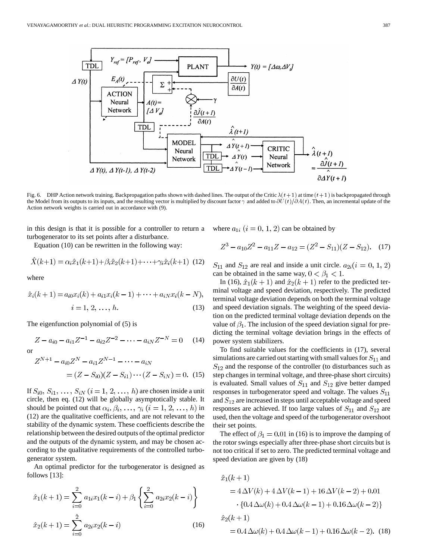

Fig. 6. DHP Action network training. Backpropagation paths shown with dashed lines. The output of the Critic  $\lambda(t+1)$  at time  $(t+1)$  is backpropagated through the Model from its outputs to its inputs, and the resulting vector is multiplied by discount factor  $\gamma$  and added to  $\partial U(t)/\partial A(t)$ . Then, an incremental update of the Action network weights is carried out in accordance with (9).

in this design is that it is possible for a controller to return a turbogenerator to its set points after a disturbance.

Equation (10) can be rewritten in the following way:

$$
\hat{X}(k+1) = \alpha_i \hat{x}_1(k+1) + \beta_i \hat{x}_2(k+1) + \dots + \gamma_i \hat{x}_i(k+1)
$$
 (12)

where

$$
\hat{x}_i(k+1) = a_{i0}x_i(k) + a_{i1}x_i(k-1) + \dots + a_{iN}x_i(k-N),
$$
  
\n
$$
i = 1, 2, \dots, h.
$$
 (13)

The eigenfunction polynomial of (5) is

$$
Z - a_{i0} - a_{i1}Z^{-1} - a_{i2}Z^{-2} - \dots - a_{iN}Z^{-N} = 0 \quad (14)
$$

$$
\quad \text{or} \quad
$$

$$
Z^{N+1} - a_{i0}Z^N - a_{i1}Z^{N-1} - \dots - a_{iN}
$$
  
=  $(Z - S_{i0})(Z - S_{i1}) \dots (Z - S_{iN}) = 0.$  (15)

If  $S_{i0}, S_{i1}, \ldots, S_{iN}$   $(i = 1, 2, \ldots, h)$  are chosen inside a unit circle, then eq. (12) will be globally asymptotically stable. It should be pointed out that  $\alpha_i, \beta_i, \ldots, \gamma_i$   $(i = 1, 2, \ldots, h)$  in (12) are the qualitative coefficients, and are not relevant to the stability of the dynamic system. These coefficients describe the relationship between the desired outputs of the optimal predictor and the outputs of the dynamic system, and may be chosen according to the qualitative requirements of the controlled turbogenerator system.

An optimal predictor for the turbogenerator is designed as follows [13]:

$$
\hat{x}_1(k+1) = \sum_{i=0}^2 a_{1i} x_1(k-i) + \beta_1 \left\{ \sum_{i=0}^2 a_{2i} x_2(k-i) \right\}
$$

$$
\hat{x}_2(k+1) = \sum_{i=0}^2 a_{2i} x_2(k-i) \tag{16}
$$

where  $a_{1i}$   $(i = 0, 1, 2)$  can be obtained by

$$
Z^3 - a_{10}Z^2 - a_{11}Z - a_{12} = (Z^2 - S_{11})(Z - S_{12}).
$$
 (17)

 $S_{11}$  and  $S_{12}$  are real and inside a unit circle.  $a_{2i}(i=0, 1, 2)$ can be obtained in the same way,  $0 < \beta_1 < 1$ .

In (16),  $\hat{x}_1(k+1)$  and  $\hat{x}_2(k+1)$  refer to the predicted terminal voltage and speed deviation, respectively. The predicted terminal voltage deviation depends on both the terminal voltage and speed deviation signals. The weighting of the speed deviation on the predicted terminal voltage deviation depends on the value of  $\beta_1$ . The inclusion of the speed deviation signal for predicting the terminal voltage deviation brings in the effects of power system stabilizers.

To find suitable values for the coefficients in (17), several simulations are carried out starting with small values for  $S_{11}$  and  $S_{12}$  and the response of the controller (to disturbances such as step changes in terminal voltage, and three-phase short circuits) is evaluated. Small values of  $S_{11}$  and  $S_{12}$  give better damped responses in turbogenerator speed and voltage. The values  $S_{11}$ and  $S_{12}$  are increased in steps until acceptable voltage and speed responses are achieved. If too large values of  $S_{11}$  and  $S_{12}$  are used, then the voltage and speed of the turbogenerator overshoot their set points.

The effect of  $\beta_1 = 0.01$  in (16) is to improve the damping of the rotor swings especially after three-phase short circuits but is not too critical if set to zero. The predicted terminal voltage and speed deviation are given by (18)

$$
\hat{x}_1(k+1) = 4 \Delta V(k) + 4 \Delta V(k-1) + 16 \Delta V(k-2) + 0.01
$$

$$
\cdot \{0.4 \Delta \omega(k) + 0.4 \Delta \omega(k-1) + 0.16 \Delta \omega(k-2)\}
$$

$$
\hat{x}_2(k+1) = 0.4 \Delta \omega(k) + 0.4 \Delta \omega(k-1) + 0.16 \Delta \omega(k-2). \tag{18}
$$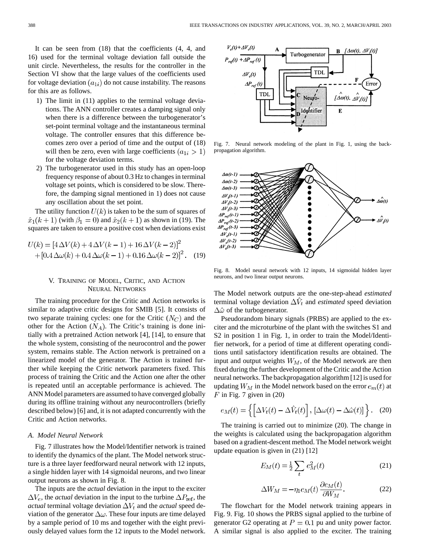It can be seen from (18) that the coefficients (4, 4, and 16) used for the terminal voltage deviation fall outside the unit circle. Nevertheless, the results for the controller in the Section VI show that the large values of the coefficients used for voltage deviation  $(a_{1i})$  do not cause instability. The reasons for this are as follows.

- 1) The limit in (11) applies to the terminal voltage deviations. The ANN controller creates a damping signal only when there is a difference between the turbogenerator's set-point terminal voltage and the instantaneous terminal voltage. The controller ensures that this difference becomes zero over a period of time and the output of (18) will then be zero, even with large coefficients  $(a_{1i} > 1)$ for the voltage deviation terms.
- 2) The turbogenerator used in this study has an open-loop frequency response of about 0.3 Hz to changes in terminal voltage set points, which is considered to be slow. Therefore, the damping signal mentioned in 1) does not cause any oscillation about the set point.

The utility function  $U(k)$  is taken to be the sum of squares of  $\hat{x}_1(k+1)$  (with  $\beta_1 = 0$ ) and  $\hat{x}_2(k+1)$  as shown in (19). The squares are taken to ensure a positive cost when deviations exist

$$
U(k) = [4 \Delta V(k) + 4 \Delta V(k-1) + 16 \Delta V(k-2)]^{2}
$$
  
+ [0.4 \Delta\omega(k) + 0.4 \Delta\omega(k-1) + 0.16 \Delta\omega(k-2)]^{2}. (19)

#### V. TRAINING OF MODEL, CRITIC, AND ACTION NEURAL NETWORKS

The training procedure for the Critic and Action networks is similar to adaptive critic designs for SMIB [5]. It consists of two separate training cycles: one for the Critic  $(N_C)$  and the other for the Action  $(N_A)$ . The Critic's training is done initially with a pretrained Action network [4], [14], to ensure that the whole system, consisting of the neurocontrol and the power system, remains stable. The Action network is pretrained on a linearized model of the generator. The Action is trained further while keeping the Critic network parameters fixed. This process of training the Critic and the Action one after the other is repeated until an acceptable performance is achieved. The ANN Model parameters are assumed to have converged globally during its offline training without any neurocontrollers (briefly described below) [6] and, it is not adapted concurrently with the Critic and Action networks.

#### *A. Model Neural Network*

Fig. 7 illustrates how the Model/Identifier network is trained to identify the dynamics of the plant. The Model network structure is a three layer feedforward neural network with 12 inputs, a single hidden layer with 14 sigmoidal neurons, and two linear output neurons as shown in Fig. 8.

The inputs are the *actual* deviation in the input to the exciter  $\Delta V_e$ , the *actual* deviation in the input to the turbine  $\Delta P_{\text{ref}}$ , the *actual* terminal voltage deviation  $\Delta V_t$  and the *actual* speed deviation of the generator  $\Delta\omega$ . These four inputs are time delayed by a sample period of 10 ms and together with the eight previously delayed values form the 12 inputs to the Model network.



Fig. 7. Neural network modeling of the plant in Fig. 1, using the backpropagation algorithm.



Fig. 8. Model neural network with 12 inputs, 14 sigmoidal hidden layer neurons, and two linear output neurons.

The Model network outputs are the one-step-ahead *estimated* terminal voltage deviation  $\Delta V_t$  and *estimated* speed deviation  $\Delta\hat{\omega}$  of the turbogenerator.

Pseudorandom binary signals (PRBS) are applied to the exciter and the microturbine of the plant with the switches S1 and S2 in position 1 in Fig. 1, in order to train the Model/Identifier network, for a period of time at different operating conditions until satisfactory identification results are obtained. The input and output weights  $W_M$ , of the Model network are then fixed during the further development of the Critic and the Action neural networks. The backpropagation algorithm [12] is used for updating  $W_M$  in the Model network based on the error  $e_m(t)$  at  $F$  in Fig. 7 given in (20)

$$
e_M(t) = \left\{ \left[ \Delta V_t(t) - \Delta \hat{V}_t(t) \right], \left[ \Delta \omega(t) - \Delta \hat{\omega}(t) \right] \right\}.
$$
 (20)

The training is carried out to minimize (20). The change in the weights is calculated using the backpropagation algorithm based on a gradient-descent method. The Model network weight update equation is given in (21) [12]

$$
E_M(t) = \frac{1}{2} \sum_t e_M^2(t)
$$
 (21)

$$
\Delta W_M = -\eta_1 e_M(t) \frac{\partial e_M(t)}{\partial W_M}.
$$
 (22)

The flowchart for the Model network training appears in Fig. 9. Fig. 10 shows the PRBS signal applied to the turbine of generator G2 operating at  $P = 0.1$  pu and unity power factor. A similar signal is also applied to the exciter. The training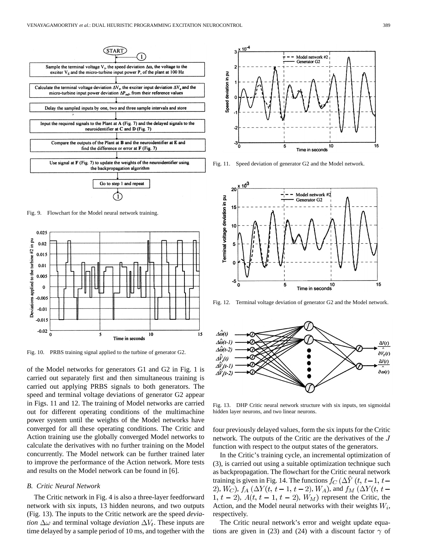

Fig. 9. Flowchart for the Model neural network training.



Fig. 10. PRBS training signal applied to the turbine of generator G2.

of the Model networks for generators G1 and G2 in Fig. 1 is carried out separately first and then simultaneous training is carried out applying PRBS signals to both generators. The speed and terminal voltage deviations of generator G2 appear in Figs. 11 and 12. The training of Model networks are carried out for different operating conditions of the multimachine power system until the weights of the Model networks have converged for all these operating conditions. The Critic and Action training use the globally converged Model networks to calculate the derivatives with no further training on the Model concurrently. The Model network can be further trained later to improve the performance of the Action network. More tests and results on the Model network can be found in [6].

#### *B. Critic Neural Network*

The Critic network in Fig. 4 is also a three-layer feedforward network with six inputs, 13 hidden neurons, and two outputs (Fig. 13). The inputs to the Critic network are the speed *deviation*  $\Delta\omega$  and terminal voltage *deviation*  $\Delta V_t$ . These inputs are time delayed by a sample period of 10 ms, and together with the



Fig. 11. Speed deviation of generator G2 and the Model network.



Fig. 12. Terminal voltage deviation of generator G2 and the Model network.



Fig. 13. DHP Critic neural network structure with six inputs, ten sigmoidal hidden layer neurons, and two linear neurons.

four previously delayed values, form the six inputs for the Critic network. The outputs of the Critic are the derivatives of the  $J$ function with respect to the output states of the generators.

In the Critic's training cycle, an incremental optimization of (3), is carried out using a suitable optimization technique such as backpropagation. The flowchart for the Critic neural network training is given in Fig. 14. The functions  $f_C(\Delta Y(t, t-1, t-1))$ 2),  $W_C$ ),  $f_A(\Delta Y(t, t-1, t-2), W_A)$ , and  $f_M(\Delta Y(t, t (1, t-2)$ ,  $A(t, t-1, t-2)$ ,  $W_M$ ) represent the Critic, the Action, and the Model neural networks with their weights  $W_i$ , respectively.

The Critic neural network's error and weight update equations are given in (23) and (24) with a discount factor  $\gamma$  of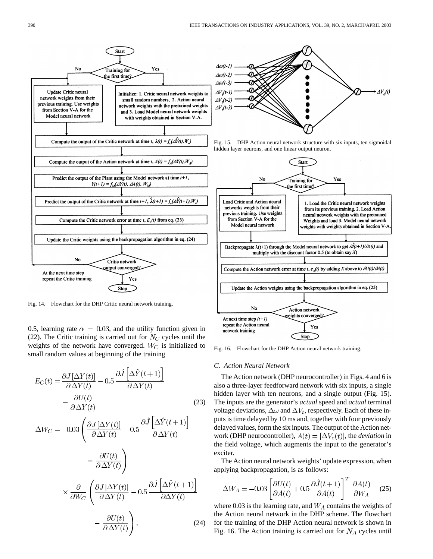

Fig. 14. Flowchart for the DHP Critic neural network training.

0.5, learning rate  $\alpha = 0.03$ , and the utility function given in (22). The Critic training is carried out for  $N_C$  cycles until the weights of the network have converged.  $W_C$  is initialized to small random values at beginning of the training

$$
E_C(t) = \frac{\partial J[\Delta Y(t)]}{\partial \Delta Y(t)} - 0.5 \frac{\partial \hat{J}[\Delta \hat{Y}(t+1)]}{\partial \Delta Y(t)} - \frac{\partial U(t)}{\partial \Delta Y(t)}
$$
(23)

$$
\Delta W_C = -0.03 \left( \frac{\partial J \left[ \Delta Y(t) \right]}{\partial \Delta Y(t)} - 0.5 \frac{\partial \hat{J} \left[ \Delta \hat{Y}(t+1) \right]}{\partial \Delta Y(t)} - \frac{\partial U(t)}{\partial \Delta Y(t)} \right)
$$

$$
\times \frac{\partial}{\partial W_C} \left( \frac{\partial J \left[ \Delta Y(t) \right]}{\partial \Delta Y(t)} - 0.5 \frac{\partial \hat{J} \left[ \Delta \hat{Y}(t+1) \right]}{\partial \Delta Y(t)} - \frac{\partial U(t)}{\partial \Delta Y(t)} \right). \tag{24}
$$



Fig. 15. DHP Action neural network structure with six inputs, ten sigmoidal hidden layer neurons, and one linear output neuron.



Fig. 16. Flowchart for the DHP Action neural network training.

#### *C. Action Neural Network*

The Action network (DHP neurocontroller) in Figs. 4 and 6 is also a three-layer feedforward network with six inputs, a single hidden layer with ten neurons, and a single output (Fig. 15). The inputs are the generator's *actual* speed and *actual* terminal voltage deviations,  $\Delta\omega$  and  $\Delta V_t$ , respectively. Each of these inputs is time delayed by 10 ms and, together with four previously delayed values, form the six inputs. The output of the Action network (DHP neurocontroller),  $A(t) = [\Delta V_e(t)]$ , the *deviation* in the field voltage, which augments the input to the generator's exciter.

The Action neural network weights' update expression, when applying backpropagation, is as follows:

$$
\Delta W_A = -0.03 \left[ \frac{\partial U(t)}{\partial A(t)} + 0.5 \frac{\partial \hat{J}(t+1)}{\partial A(t)} \right]^T \frac{\partial A(t)}{\partial W_A}
$$
 (25)

where 0.03 is the learning rate, and  $W_A$  contains the weights of the Action neural network in the DHP scheme. The flowchart for the training of the DHP Action neural network is shown in Fig. 16. The Action training is carried out for  $N_A$  cycles until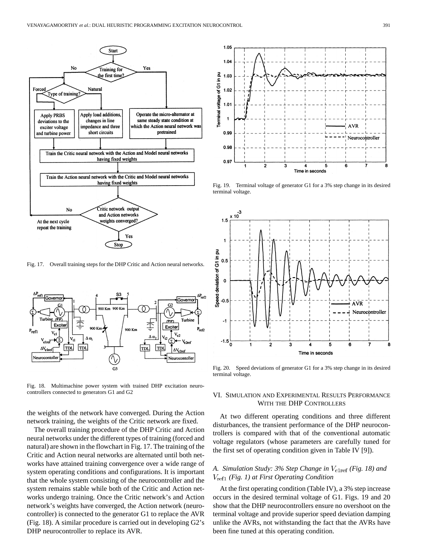

Fig. 17. Overall training steps for the DHP Critic and Action neural networks.



Fig. 18. Multimachine power system with trained DHP excitation neurocontrollers connected to generators G1 and G2

the weights of the network have converged. During the Action network training, the weights of the Critic network are fixed.

The overall training procedure of the DHP Critic and Action neural networks under the different types of training (forced and natural) are shown in the flowchart in Fig. 17. The training of the Critic and Action neural networks are alternated until both networks have attained training convergence over a wide range of system operating conditions and configurations. It is important that the whole system consisting of the neurocontroller and the system remains stable while both of the Critic and Action networks undergo training. Once the Critic network's and Action network's weights have converged, the Action network (neurocontroller) is connected to the generator G1 to replace the AVR (Fig. 18). A similar procedure is carried out in developing G2's DHP neurocontroller to replace its AVR.



Fig. 19. Terminal voltage of generator G1 for a 3% step change in its desired terminal voltage.



Fig. 20. Speed deviations of generator G1 for a 3% step change in its desired terminal voltage.

## VI. SIMULATION AND EXPERIMENTAL RESULTS PERFORMANCE WITH THE DHP CONTROLLERS

At two different operating conditions and three different disturbances, the transient performance of the DHP neurocontrollers is compared with that of the conventional automatic voltage regulators (whose parameters are carefully tuned for the first set of operating condition given in Table IV [9]).

## *A. Simulation Study: 3% Step Change in (Fig. 18) and (Fig. 1) at First Operating Condition*

At the first operating condition (Table IV), a 3% step increase occurs in the desired terminal voltage of G1. Figs. 19 and 20 show that the DHP neurocontrollers ensure no overshoot on the terminal voltage and provide superior speed deviation damping unlike the AVRs, not withstanding the fact that the AVRs have been fine tuned at this operating condition.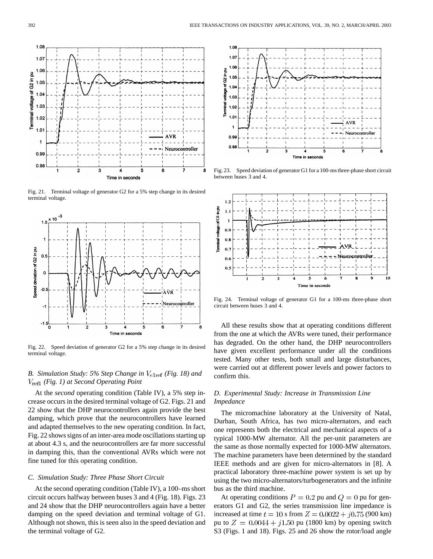

Fig. 21. Terminal voltage of generator G2 for a 5% step change in its desired terminal voltage.



Fig. 22. Speed deviation of generator G2 for a 5% step change in its desired terminal voltage.

## *B. Simulation Study: 5% Step Change in (Fig. 18) and (Fig. 1) at Second Operating Point*

At the *second* operating condition (Table IV), a 5% step increase occurs in the desired terminal voltage of G2. Figs. 21 and 22 show that the DHP neurocontrollers again provide the best damping, which prove that the neurocontrollers have learned and adapted themselves to the new operating condition. In fact, Fig. 22 shows signs of an inter-area mode oscillations starting up at about 4.3 s, and the neurocontrollers are far more successful in damping this, than the conventional AVRs which were not fine tuned for this operating condition.

#### *C. Simulation Study: Three Phase Short Circuit*

At the second operating condition (Table IV), a 100–ms short circuit occurs halfway between buses 3 and 4 (Fig. 18). Figs. 23 and 24 show that the DHP neurocontrollers again have a better damping on the speed deviation and terminal voltage of G1. Although not shown, this is seen also in the speed deviation and the terminal voltage of G2.



Fig. 23. Speed deviation of generator G1 for a 100-ms three-phase short circuit between buses 3 and 4.



Fig. 24. Terminal voltage of generator G1 for a 100-ms three-phase short circuit between buses 3 and 4.

All these results show that at operating conditions different from the one at which the AVRs were tuned, their performance has degraded. On the other hand, the DHP neurocontrollers have given excellent performance under all the conditions tested. Many other tests, both small and large disturbances, were carried out at different power levels and power factors to confirm this.

## *D. Experimental Study: Increase in Transmission Line Impedance*

The micromachine laboratory at the University of Natal, Durban, South Africa, has two micro-alternators, and each one represents both the electrical and mechanical aspects of a typical 1000-MW alternator. All the per-unit parameters are the same as those normally expected for 1000-MW alternators. The machine parameters have been determined by the standard IEEE methods and are given for micro-alternators in [8]. A practical laboratory three-machine power system is set up by using the two micro-alternators/turbogenerators and the infinite bus as the third machine.

At operating conditions  $P = 0.2$  pu and  $Q = 0$  pu for generators G1 and G2, the series transmission line impedance is increased at time  $t = 10$  s from  $Z = 0.0022 + j0.75$  (900 km) pu to  $Z = 0.0044 + j1.50$  pu (1800 km) by opening switch S3 (Figs. 1 and 18). Figs. 25 and 26 show the rotor/load angle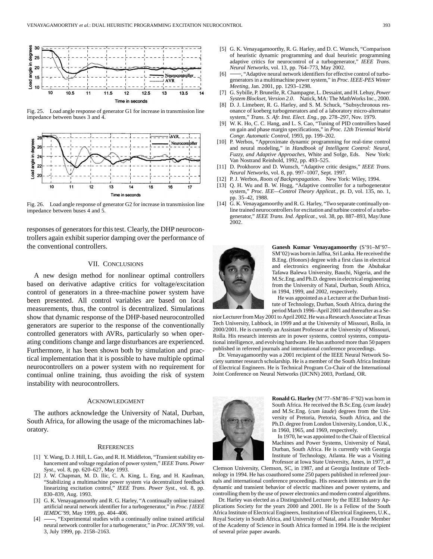

Fig. 25. Load angle response of generator G1 for increase in transmission line impedance between buses 3 and 4.



Fig. 26. Load angle response of generator G2 for increase in transmission line impedance between buses 4 and 5.

responses of generators for this test. Clearly, the DHP neurocontrollers again exhibit superior damping over the performance of the conventional controllers.

## VII. CONCLUSIONS

A new design method for nonlinear optimal controllers based on derivative adaptive critics for voltage/excitation control of generators in a three-machine power system have been presented. All control variables are based on local measurements, thus, the control is decentralized. Simulations show that dynamic response of the DHP-based neurocontrolled generators are superior to the response of the conventionally controlled generators with AVRs, particularly so when operating conditions change and large disturbances are experienced. Furthermore, it has been shown both by simulation and practical implementation that it is possible to have multiple optimal neurocontrollers on a power system with no requirement for continual online training, thus avoiding the risk of system instability with neurocontrollers.

## ACKNOWLEDGMENT

The authors acknowledge the University of Natal, Durban, South Africa, for allowing the usage of the micromachines laboratory.

#### **REFERENCES**

- [1] Y. Wang, D. J. Hill, L. Gao, and R. H. Middleton, "Transient stability enhancement and voltage regulation of power system," *IEEE Trans. Power Syst.*, vol. 8, pp. 620–627, May 1993.
- [2] J. W. Chapman, M. D. Ilic, C. A. King, L. Eng, and H. Kaufman, "Stabilizing a multimachine power system via decentralized feedback linearizing excitation control," *IEEE Trans. Power Syst.*, vol. 8, pp. 830–839, Aug. 1993.
- [3] G. K. Venayagamoorthy and R. G. Harley, "A continually online trained artificial neural network identifier for a turbogenerator," in *Proc. f IEEE IEMDC'99*, May 1999, pp. 404–406.
- [4] , "Experimental studies with a continually online trained artificial neural network controller for a turbogenerator," in *Proc. IJCNN'99*, vol. 3, July 1999, pp. 2158–2163.
- [5] G. K. Venayagamoorthy, R. G. Harley, and D. C. Wunsch, "Comparison of heuristic dynamic programming and dual heuristic programming adaptive critics for neurocontrol of a turbogenerator," *IEEE Trans. Neural Networks*, vol. 13, pp. 764–773, May 2002.
- [6]  $\longrightarrow$ , "Adaptive neural network identifiers for effective control of turbogenerators in a multimachine power system," in *Proc. IEEE-PES Winter Meeting*, Jan. 2001, pp. 1293–1298.
- [7] G. Sybille, P. Brunelle, R. Champagne, L. Dessaint, and H. Lehuy, *Power System Blockset, Version 2.0*. Natick, MA: The MathWorks Inc., 2000.
- [8] D. J. Limebeer, R. G. Harley, and S. M. Schuck, "Subsychronous resonance of koeberg turbogenerators and of a laboratory micro-alternator system," *Trans. S. Afr. Inst. Elect. Eng.*, pp. 278–297, Nov. 1979.
- [9] W. K. Ho, C. C. Hang, and L. S. Cao, "Tuning of PID controllers based on gain and phase margin specifications," in *Proc. 12th Triennial World Congr. Automatic Control*, 1993, pp. 199–202.
- [10] P. Werbos, "Approximate dynamic programming for real-time control and neural modeling," in *Handbook of Intelligent Control: Neural, Fuzzy, and Adaptive Approaches*, White and Sofge, Eds. New York: Van Nostrand Reinhold, 1992, pp. 493–525.
- [11] D. Prokhorov and D. Wunsch, "Adaptive critic designs," *IEEE Trans. Neural Networks*, vol. 8, pp. 997–1007, Sept. 1997.
- [12] P. J. Werbos, *Roots of Backpropagation*. New York: Wiley, 1994.
- [13] Q. H. Wu and B. W. Hogg, "Adaptive controller for a turbogenerator system," *Proc. IEE—Control Theory Applicat.*, pt. D, vol. 135, no. 1, pp. 35–42, 1988.
- [14] G. K. Venayagamoorthy and R. G. Harley, "Two separate continually online trained neurocontrollers for excitation and turbine control of a turbogenerator," *IEEE Trans. Ind. Applicat.*, vol. 38, pp. 887–893, May/June 2002.



**Ganesh Kumar Venayagamoorthy** (S'91–M'97– SM'02) was born in Jaffna, Sri Lanka. He received the B.Eng. (Honors) degree with a first class in electrical and electronics engineering from the Abubakar Tafawa Balewa University, Bauchi, Nigeria, and the M.Sc.Eng. and Ph.D. degrees in electrical engineering from the University of Natal, Durban, South Africa, in 1994, 1999, and 2002, respectively.

He was appointed as a Lecturer at the Durban Institute of Technology, Durban, South Africa, during the period March 1996–April 2001 and thereafter as a Se-

nior Lecturer from May 2001 to April 2002. He was a Research Associate at Texas Tech University, Lubbock, in 1999 and at the University of Missouri, Rolla, in 2000/2001. He is currently an Assistant Professor at the University of Missouri, Rolla. His research interests are in power systems, control systems, computational intelligence, and evolving hardware. He has authored more than 50 papers published in refereed journals and international conference proceedings.

Dr. Venayagamoorthy was a 2001 recipient of the IEEE Neural Network Society summer research scholarship. He is a member of the South Africa Institute of Electrical Engineers. He is Technical Program Co-Chair of the International Joint Conference on Neural Networks (IJCNN) 2003, Portland, OR.



**Ronald G. Harley** (M'77–SM'86–F'92) was born in South Africa. He received the B.Sc.Eng. (*cum laude*) and M.Sc.Eng. (*cum laude*) degrees from the University of Pretoria, Pretoria, South Africa, and the Ph.D. degree from London University, London, U.K., in 1960, 1965, and 1969, respectively.

In 1970, he was appointed to the Chair of Electrical Machines and Power Systems, University of Natal, Durban, South Africa. He is currently with Georgia Institute of Technology, Atlanta. He was a Visiting Professor at Iowa State University, Ames, in 1977, at

Clemson University, Clemson, SC, in 1987, and at Georgia Institute of Technology in 1994. He has coauthored some 250 papers published in refereed journals and international conference proceedings. His research interests are in the dynamic and transient behavior of electric machines and power systems, and controlling them by the use of power electronics and modern control algorithms.

Dr. Harley was elected as a Distinguished Lecturer by the IEEE Industry Applications Society for the years 2000 and 2001. He is a Fellow of the South Africa Institute of Electrical Engineers, Institution of Electrical Engineers, U.K., Royal Society in South Africa, and University of Natal, and a Founder Member of the Academy of Science in South Africa formed in 1994. He is the recipient of several prize paper awards.